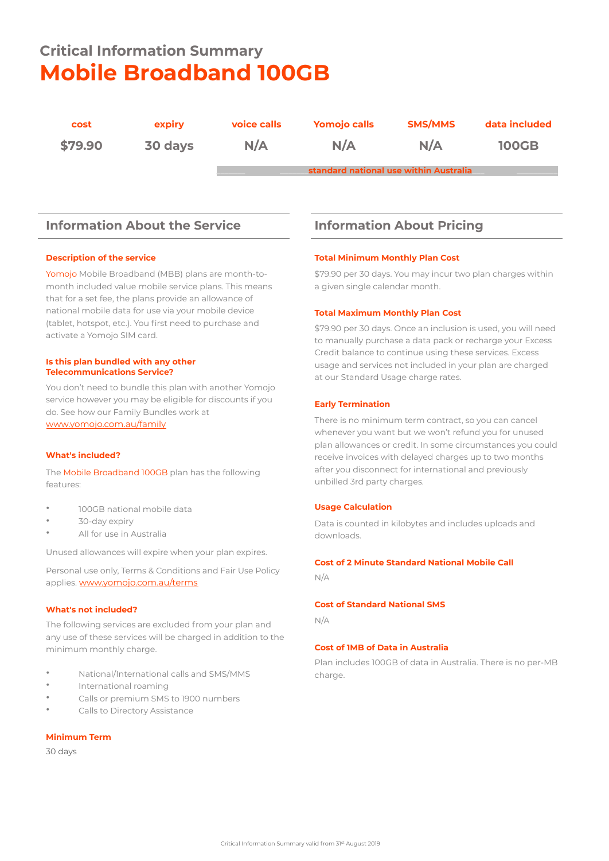# **Critical Information Summary Mobile Broadband 100GB**

| cost    | expiry  | voice calls | <b>Yomojo calls</b>                    | <b>SMS/MMS</b> | data included |
|---------|---------|-------------|----------------------------------------|----------------|---------------|
| \$79.90 | 30 days | N/A         | N/A                                    | N/A            | <b>100GB</b>  |
|         |         |             | standard national use within Australia |                |               |

## **Information About the Service Information About Pricing**

#### **Description of the service**

Yomojo Mobile Broadband (MBB) plans are month-tomonth included value mobile service plans. This means that for a set fee, the plans provide an allowance of national mobile data for use via your mobile device (tablet, hotspot, etc.). You first need to purchase and activate a Yomojo SIM card.

#### **Is this plan bundled with any other Telecommunications Service?**

You don't need to bundle this plan with another Yomojo service however you may be eligible for discounts if you do. See how our Family Bundles work at [www.yomojo.com.au/family](https://www.yomojo.com.au/family)

#### **What's included?**

The Mobile Broadband 100GB plan has the following features:

- 100GB national mobile data
- 30-day expiry
- All for use in Australia

Unused allowances will expire when your plan expires.

Personal use only, Terms & Conditions and Fair Use Policy applies. [www.yomojo.com.au/terms](https://www.yomojo.com.au/terms)

### **What's not included?**

The following services are excluded from your plan and any use of these services will be charged in addition to the minimum monthly charge.

- National/International calls and SMS/MMS
- International roaming
- Calls or premium SMS to 1900 numbers
- Calls to Directory Assistance

#### **Minimum Term**

#### 30 days

#### **Total Minimum Monthly Plan Cost**

\$79.90 per 30 days. You may incur two plan charges within a given single calendar month.

#### **Total Maximum Monthly Plan Cost**

\$79.90 per 30 days. Once an inclusion is used, you will need to manually purchase a data pack or recharge your Excess Credit balance to continue using these services. Excess usage and services not included in your plan are charged at our Standard Usage charge rates.

#### **Early Termination**

There is no minimum term contract, so you can cancel whenever you want but we won't refund you for unused plan allowances or credit. In some circumstances you could receive invoices with delayed charges up to two months after you disconnect for international and previously unbilled 3rd party charges.

#### **Usage Calculation**

Data is counted in kilobytes and includes uploads and downloads.

#### **Cost of 2 Minute Standard National Mobile Call**

N/A

#### **Cost of Standard National SMS**

N/A

#### **Cost of 1MB of Data in Australia**

Plan includes 100GB of data in Australia. There is no per-MB charge.